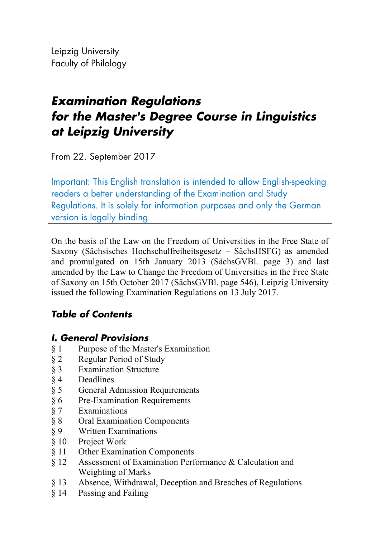Leipzig University Faculty of Philology

# *Examination Regulations for the Master's Degree Course in Linguistics at Leipzig University*

From 22. September 2017

Important: This English translation is intended to allow English-speaking readers a better understanding of the Examination and Study Regulations. It is solely for information purposes and only the German version is legally binding

On the basis of the Law on the Freedom of Universities in the Free State of Saxony (Sächsisches Hochschulfreiheitsgesetz – SächsHSFG) as amended and promulgated on 15th January 2013 (SächsGVBl. page 3) and last amended by the Law to Change the Freedom of Universities in the Free State of Saxony on 15th October 2017 (SächsGVBl. page 546), Leipzig University issued the following Examination Regulations on 13 July 2017.

# *Table of Contents*

# *I. General Provisions*

- § 1 Purpose of the Master's Examination
- § 2 Regular Period of Study
- § 3 Examination Structure
- § 4 Deadlines
- § 5 General Admission Requirements
- § 6 Pre-Examination Requirements
- § 7 Examinations
- § 8 Oral Examination Components
- § 9 Written Examinations
- § 10 Project Work
- § 11 Other Examination Components
- § 12 Assessment of Examination Performance & Calculation and Weighting of Marks
- § 13 Absence, Withdrawal, Deception and Breaches of Regulations
- § 14 Passing and Failing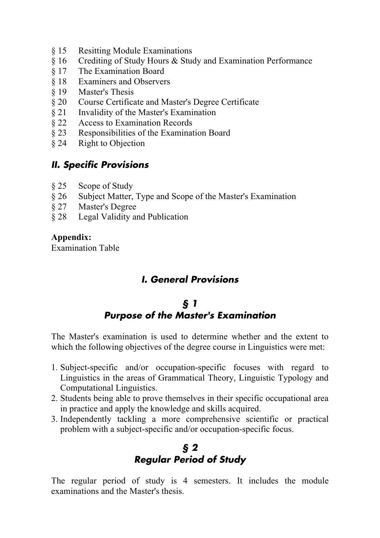- § 15 Resitting Module Examinations
- § 16 Crediting of Study Hours & Study and Examination Performance
- § 17 The Examination Board
- § 18 Examiners and Observers
- § 19 Master's Thesis
- § 20 Course Certificate and Master's Degree Certificate
- § 21 Invalidity of the Master's Examination
- § 22 Access to Examination Records
- § 23 Responsibilities of the Examination Board
- § 24 Right to Objection

## *II. Specific Provisions*

- § 25 Scope of Study
- § 26 Subject Matter, Type and Scope of the Master's Examination
- § 27 Master's Degree
- § 28 Legal Validity and Publication

#### **Appendix:**

Examination Table

## *I. General Provisions*

## *§ 1 Purpose of the Master's Examination*

The Master's examination is used to determine whether and the extent to which the following objectives of the degree course in Linguistics were met:

- 1. Subject-specific and/or occupation-specific focuses with regard to Linguistics in the areas of Grammatical Theory, Linguistic Typology and Computational Linguistics.
- 2. Students being able to prove themselves in their specific occupational area in practice and apply the knowledge and skills acquired.
- 3. Independently tackling a more comprehensive scientific or practical problem with a subject-specific and/or occupation-specific focus.

# *§ 2 Regular Period of Study*

The regular period of study is 4 semesters. It includes the module examinations and the Master's thesis.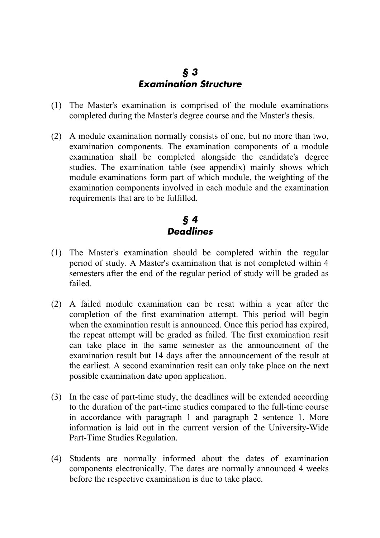#### *§ 3 Examination Structure*

- (1) The Master's examination is comprised of the module examinations completed during the Master's degree course and the Master's thesis.
- (2) A module examination normally consists of one, but no more than two, examination components. The examination components of a module examination shall be completed alongside the candidate's degree studies. The examination table (see appendix) mainly shows which module examinations form part of which module, the weighting of the examination components involved in each module and the examination requirements that are to be fulfilled.

# *§ 4 Deadlines*

- (1) The Master's examination should be completed within the regular period of study. A Master's examination that is not completed within 4 semesters after the end of the regular period of study will be graded as failed.
- (2) A failed module examination can be resat within a year after the completion of the first examination attempt. This period will begin when the examination result is announced. Once this period has expired, the repeat attempt will be graded as failed. The first examination resit can take place in the same semester as the announcement of the examination result but 14 days after the announcement of the result at the earliest. A second examination resit can only take place on the next possible examination date upon application.
- (3) In the case of part-time study, the deadlines will be extended according to the duration of the part-time studies compared to the full-time course in accordance with paragraph 1 and paragraph 2 sentence 1. More information is laid out in the current version of the University-Wide Part-Time Studies Regulation.
- (4) Students are normally informed about the dates of examination components electronically. The dates are normally announced 4 weeks before the respective examination is due to take place.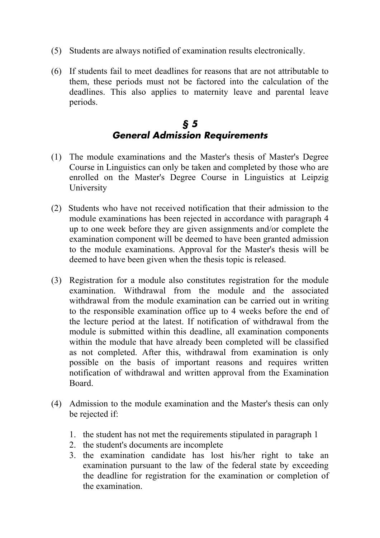- (5) Students are always notified of examination results electronically.
- (6) If students fail to meet deadlines for reasons that are not attributable to them, these periods must not be factored into the calculation of the deadlines. This also applies to maternity leave and parental leave periods.

#### *§ 5 General Admission Requirements*

- (1) The module examinations and the Master's thesis of Master's Degree Course in Linguistics can only be taken and completed by those who are enrolled on the Master's Degree Course in Linguistics at Leipzig University
- (2) Students who have not received notification that their admission to the module examinations has been rejected in accordance with paragraph 4 up to one week before they are given assignments and/or complete the examination component will be deemed to have been granted admission to the module examinations. Approval for the Master's thesis will be deemed to have been given when the thesis topic is released.
- (3) Registration for a module also constitutes registration for the module examination. Withdrawal from the module and the associated withdrawal from the module examination can be carried out in writing to the responsible examination office up to 4 weeks before the end of the lecture period at the latest. If notification of withdrawal from the module is submitted within this deadline, all examination components within the module that have already been completed will be classified as not completed. After this, withdrawal from examination is only possible on the basis of important reasons and requires written notification of withdrawal and written approval from the Examination Board.
- (4) Admission to the module examination and the Master's thesis can only be rejected if:
	- 1. the student has not met the requirements stipulated in paragraph 1
	- 2. the student's documents are incomplete
	- 3. the examination candidate has lost his/her right to take an examination pursuant to the law of the federal state by exceeding the deadline for registration for the examination or completion of the examination.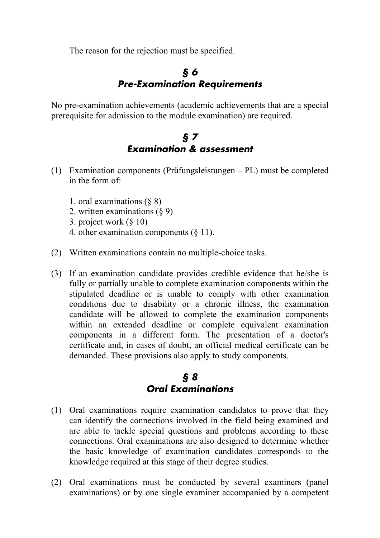The reason for the rejection must be specified.

## *§ 6 Pre***-***Examination Requirements*

No pre-examination achievements (academic achievements that are a special prerequisite for admission to the module examination) are required.

## *§ 7 Examination & assessment*

- (1) Examination components (Prüfungsleistungen PL) must be completed in the form of:
	- 1. oral examinations (§ 8)
	- 2. written examinations (§ 9)
	- 3. project work (§ 10)
	- 4. other examination components (§ 11).
- (2) Written examinations contain no multiple-choice tasks.
- (3) If an examination candidate provides credible evidence that he/she is fully or partially unable to complete examination components within the stipulated deadline or is unable to comply with other examination conditions due to disability or a chronic illness, the examination candidate will be allowed to complete the examination components within an extended deadline or complete equivalent examination components in a different form. The presentation of a doctor's certificate and, in cases of doubt, an official medical certificate can be demanded. These provisions also apply to study components.

## *§ 8 Oral Examinations*

- (1) Oral examinations require examination candidates to prove that they can identify the connections involved in the field being examined and are able to tackle special questions and problems according to these connections. Oral examinations are also designed to determine whether the basic knowledge of examination candidates corresponds to the knowledge required at this stage of their degree studies.
- (2) Oral examinations must be conducted by several examiners (panel examinations) or by one single examiner accompanied by a competent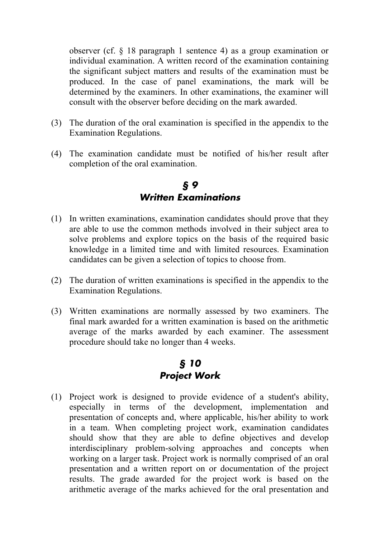observer (cf. § 18 paragraph 1 sentence 4) as a group examination or individual examination. A written record of the examination containing the significant subject matters and results of the examination must be produced. In the case of panel examinations, the mark will be determined by the examiners. In other examinations, the examiner will consult with the observer before deciding on the mark awarded.

- (3) The duration of the oral examination is specified in the appendix to the Examination Regulations.
- (4) The examination candidate must be notified of his/her result after completion of the oral examination.

#### *§ 9 Written Examinations*

- (1) In written examinations, examination candidates should prove that they are able to use the common methods involved in their subject area to solve problems and explore topics on the basis of the required basic knowledge in a limited time and with limited resources. Examination candidates can be given a selection of topics to choose from.
- (2) The duration of written examinations is specified in the appendix to the Examination Regulations.
- (3) Written examinations are normally assessed by two examiners. The final mark awarded for a written examination is based on the arithmetic average of the marks awarded by each examiner. The assessment procedure should take no longer than 4 weeks.

## *§ 10 Project Work*

(1) Project work is designed to provide evidence of a student's ability, especially in terms of the development, implementation and presentation of concepts and, where applicable, his/her ability to work in a team. When completing project work, examination candidates should show that they are able to define objectives and develop interdisciplinary problem-solving approaches and concepts when working on a larger task. Project work is normally comprised of an oral presentation and a written report on or documentation of the project results. The grade awarded for the project work is based on the arithmetic average of the marks achieved for the oral presentation and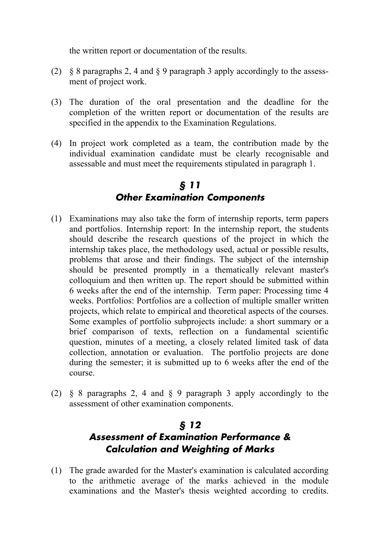the written report or documentation of the results.

- (2) § 8 paragraphs 2, 4 and § 9 paragraph 3 apply accordingly to the assessment of project work.
- (3) The duration of the oral presentation and the deadline for the completion of the written report or documentation of the results are specified in the appendix to the Examination Regulations.
- (4) In project work completed as a team, the contribution made by the individual examination candidate must be clearly recognisable and assessable and must meet the requirements stipulated in paragraph 1.

# *§ 11 Other Examination Components*

- (1) Examinations may also take the form of internship reports, term papers and portfolios. Internship report: In the internship report, the students should describe the research questions of the project in which the internship takes place, the methodology used, actual or possible results, problems that arose and their findings. The subject of the internship should be presented promptly in a thematically relevant master's colloquium and then written up. The report should be submitted within 6 weeks after the end of the internship. Term paper: Processing time 4 weeks. Portfolios: Portfolios are a collection of multiple smaller written projects, which relate to empirical and theoretical aspects of the courses. Some examples of portfolio subprojects include: a short summary or a brief comparison of texts, reflection on a fundamental scientific question, minutes of a meeting, a closely related limited task of data collection, annotation or evaluation. The portfolio projects are done during the semester; it is submitted up to 6 weeks after the end of the course.
- (2) § 8 paragraphs 2, 4 and § 9 paragraph 3 apply accordingly to the assessment of other examination components.

# *§ 12 Assessment of Examination Performance & Calculation and Weighting of Marks*

(1) The grade awarded for the Master's examination is calculated according to the arithmetic average of the marks achieved in the module examinations and the Master's thesis weighted according to credits.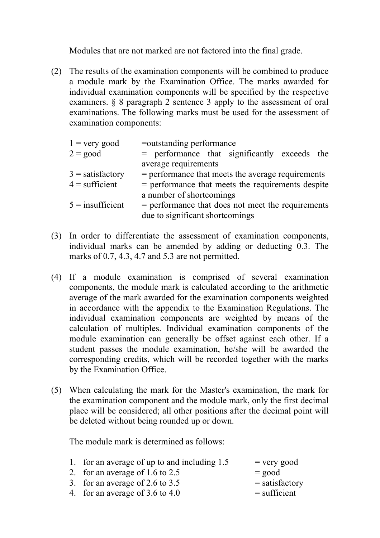Modules that are not marked are not factored into the final grade.

(2) The results of the examination components will be combined to produce a module mark by the Examination Office. The marks awarded for individual examination components will be specified by the respective examiners. § 8 paragraph 2 sentence 3 apply to the assessment of oral examinations. The following marks must be used for the assessment of examination components:

| $1 =$ very good    | =outstanding performance                            |
|--------------------|-----------------------------------------------------|
| $2 = \text{good}$  | = performance that significantly exceeds the        |
|                    | average requirements                                |
| $3 =$ satisfactory | $=$ performance that meets the average requirements |
| $4 =$ sufficient   | $=$ performance that meets the requirements despite |
|                    | a number of shortcomings                            |
| $5 =$ insufficient | $=$ performance that does not meet the requirements |
|                    | due to significant shortcomings                     |

- (3) In order to differentiate the assessment of examination components, individual marks can be amended by adding or deducting 0.3. The marks of 0.7, 4.3, 4.7 and 5.3 are not permitted.
- (4) If a module examination is comprised of several examination components, the module mark is calculated according to the arithmetic average of the mark awarded for the examination components weighted in accordance with the appendix to the Examination Regulations. The individual examination components are weighted by means of the calculation of multiples. Individual examination components of the module examination can generally be offset against each other. If a student passes the module examination, he/she will be awarded the corresponding credits, which will be recorded together with the marks by the Examination Office.
- (5) When calculating the mark for the Master's examination, the mark for the examination component and the module mark, only the first decimal place will be considered; all other positions after the decimal point will be deleted without being rounded up or down.

The module mark is determined as follows:

1. for an average of up to and including  $1.5$  = very good 2. for an average of  $1.6$  to  $2.5$  = good 3. for an average of 2.6 to 3.5  $=$  satisfactory 4. for an average of  $3.6$  to  $4.0$  = sufficient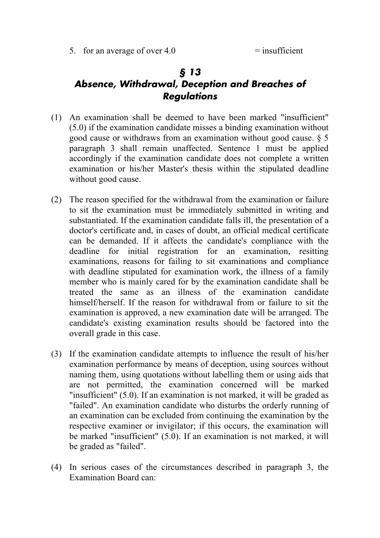## *§ 13 Absence, Withdrawal, Deception and Breaches of Regulations*

- (1) An examination shall be deemed to have been marked "insufficient" (5.0) if the examination candidate misses a binding examination without good cause or withdraws from an examination without good cause. § 5 paragraph 3 shall remain unaffected. Sentence 1 must be applied accordingly if the examination candidate does not complete a written examination or his/her Master's thesis within the stipulated deadline without good cause.
- (2) The reason specified for the withdrawal from the examination or failure to sit the examination must be immediately submitted in writing and substantiated. If the examination candidate falls ill, the presentation of a doctor's certificate and, in cases of doubt, an official medical certificate can be demanded. If it affects the candidate's compliance with the deadline for initial registration for an examination, resitting examinations, reasons for failing to sit examinations and compliance with deadline stipulated for examination work, the illness of a family member who is mainly cared for by the examination candidate shall be treated the same as an illness of the examination candidate himself/herself. If the reason for withdrawal from or failure to sit the examination is approved, a new examination date will be arranged. The candidate's existing examination results should be factored into the overall grade in this case.
- (3) If the examination candidate attempts to influence the result of his/her examination performance by means of deception, using sources without naming them, using quotations without labelling them or using aids that are not permitted, the examination concerned will be marked "insufficient" (5.0). If an examination is not marked, it will be graded as "failed". An examination candidate who disturbs the orderly running of an examination can be excluded from continuing the examination by the respective examiner or invigilator; if this occurs, the examination will be marked "insufficient" (5.0). If an examination is not marked, it will be graded as "failed".
- (4) In serious cases of the circumstances described in paragraph 3, the Examination Board can: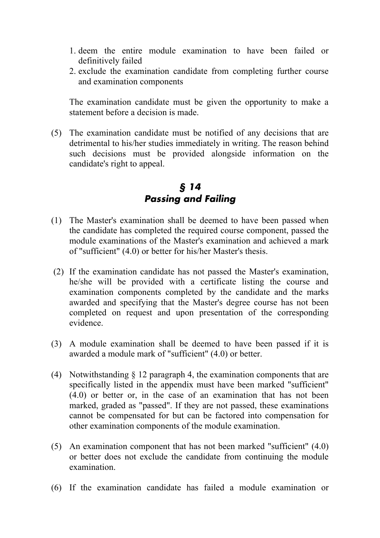- 1. deem the entire module examination to have been failed or definitively failed
- 2. exclude the examination candidate from completing further course and examination components

The examination candidate must be given the opportunity to make a statement before a decision is made.

(5) The examination candidate must be notified of any decisions that are detrimental to his/her studies immediately in writing. The reason behind such decisions must be provided alongside information on the candidate's right to appeal.

#### *§ 14 Passing and Failing*

- (1) The Master's examination shall be deemed to have been passed when the candidate has completed the required course component, passed the module examinations of the Master's examination and achieved a mark of "sufficient" (4.0) or better for his/her Master's thesis.
- (2) If the examination candidate has not passed the Master's examination, he/she will be provided with a certificate listing the course and examination components completed by the candidate and the marks awarded and specifying that the Master's degree course has not been completed on request and upon presentation of the corresponding evidence.
- (3) A module examination shall be deemed to have been passed if it is awarded a module mark of "sufficient" (4.0) or better.
- (4) Notwithstanding § 12 paragraph 4, the examination components that are specifically listed in the appendix must have been marked "sufficient" (4.0) or better or, in the case of an examination that has not been marked, graded as "passed". If they are not passed, these examinations cannot be compensated for but can be factored into compensation for other examination components of the module examination.
- (5) An examination component that has not been marked "sufficient" (4.0) or better does not exclude the candidate from continuing the module examination.
- (6) If the examination candidate has failed a module examination or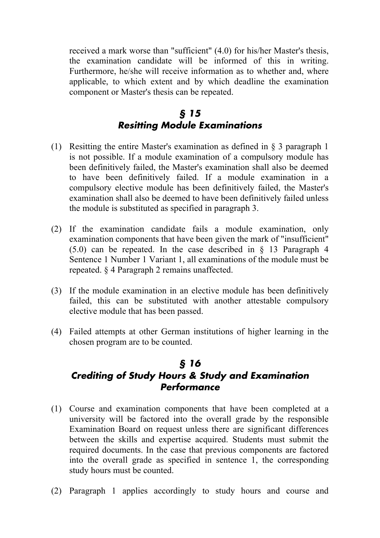received a mark worse than "sufficient" (4.0) for his/her Master's thesis, the examination candidate will be informed of this in writing. Furthermore, he/she will receive information as to whether and, where applicable, to which extent and by which deadline the examination component or Master's thesis can be repeated.

#### *§ 15 Resitting Module Examinations*

- (1) Resitting the entire Master's examination as defined in § 3 paragraph 1 is not possible. If a module examination of a compulsory module has been definitively failed, the Master's examination shall also be deemed to have been definitively failed. If a module examination in a compulsory elective module has been definitively failed, the Master's examination shall also be deemed to have been definitively failed unless the module is substituted as specified in paragraph 3.
- (2) If the examination candidate fails a module examination, only examination components that have been given the mark of "insufficient" (5.0) can be repeated. In the case described in § 13 Paragraph 4 Sentence 1 Number 1 Variant 1, all examinations of the module must be repeated. § 4 Paragraph 2 remains unaffected.
- (3) If the module examination in an elective module has been definitively failed, this can be substituted with another attestable compulsory elective module that has been passed.
- (4) Failed attempts at other German institutions of higher learning in the chosen program are to be counted.

# *§ 16 Crediting of Study Hours & Study and Examination Performance*

- (1) Course and examination components that have been completed at a university will be factored into the overall grade by the responsible Examination Board on request unless there are significant differences between the skills and expertise acquired. Students must submit the required documents. In the case that previous components are factored into the overall grade as specified in sentence 1, the corresponding study hours must be counted.
- (2) Paragraph 1 applies accordingly to study hours and course and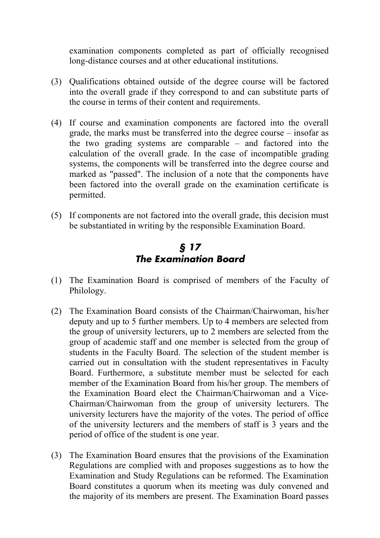examination components completed as part of officially recognised long-distance courses and at other educational institutions.

- (3) Qualifications obtained outside of the degree course will be factored into the overall grade if they correspond to and can substitute parts of the course in terms of their content and requirements.
- (4) If course and examination components are factored into the overall grade, the marks must be transferred into the degree course – insofar as the two grading systems are comparable – and factored into the calculation of the overall grade. In the case of incompatible grading systems, the components will be transferred into the degree course and marked as "passed". The inclusion of a note that the components have been factored into the overall grade on the examination certificate is permitted.
- (5) If components are not factored into the overall grade, this decision must be substantiated in writing by the responsible Examination Board.

#### *§ 17 The Examination Board*

- (1) The Examination Board is comprised of members of the Faculty of Philology.
- (2) The Examination Board consists of the Chairman/Chairwoman, his/her deputy and up to 5 further members. Up to 4 members are selected from the group of university lecturers, up to 2 members are selected from the group of academic staff and one member is selected from the group of students in the Faculty Board. The selection of the student member is carried out in consultation with the student representatives in Faculty Board. Furthermore, a substitute member must be selected for each member of the Examination Board from his/her group. The members of the Examination Board elect the Chairman/Chairwoman and a Vice-Chairman/Chairwoman from the group of university lecturers. The university lecturers have the majority of the votes. The period of office of the university lecturers and the members of staff is 3 years and the period of office of the student is one year.
- (3) The Examination Board ensures that the provisions of the Examination Regulations are complied with and proposes suggestions as to how the Examination and Study Regulations can be reformed. The Examination Board constitutes a quorum when its meeting was duly convened and the majority of its members are present. The Examination Board passes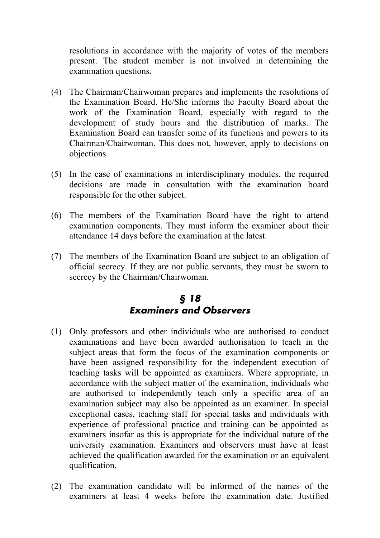resolutions in accordance with the majority of votes of the members present. The student member is not involved in determining the examination questions.

- (4) The Chairman/Chairwoman prepares and implements the resolutions of the Examination Board. He/She informs the Faculty Board about the work of the Examination Board, especially with regard to the development of study hours and the distribution of marks. The Examination Board can transfer some of its functions and powers to its Chairman/Chairwoman. This does not, however, apply to decisions on objections.
- (5) In the case of examinations in interdisciplinary modules, the required decisions are made in consultation with the examination board responsible for the other subject.
- (6) The members of the Examination Board have the right to attend examination components. They must inform the examiner about their attendance 14 days before the examination at the latest.
- (7) The members of the Examination Board are subject to an obligation of official secrecy. If they are not public servants, they must be sworn to secrecy by the Chairman/Chairwoman.

## *§ 18 Examiners and Observers*

- (1) Only professors and other individuals who are authorised to conduct examinations and have been awarded authorisation to teach in the subject areas that form the focus of the examination components or have been assigned responsibility for the independent execution of teaching tasks will be appointed as examiners. Where appropriate, in accordance with the subject matter of the examination, individuals who are authorised to independently teach only a specific area of an examination subject may also be appointed as an examiner. In special exceptional cases, teaching staff for special tasks and individuals with experience of professional practice and training can be appointed as examiners insofar as this is appropriate for the individual nature of the university examination. Examiners and observers must have at least achieved the qualification awarded for the examination or an equivalent qualification.
- (2) The examination candidate will be informed of the names of the examiners at least 4 weeks before the examination date. Justified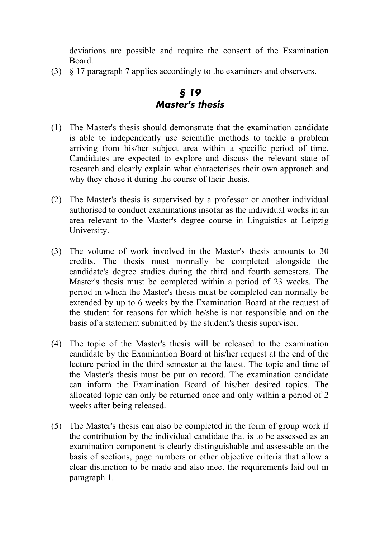deviations are possible and require the consent of the Examination Board.

(3) § 17 paragraph 7 applies accordingly to the examiners and observers.

## *§ 19 Master's thesis*

- (1) The Master's thesis should demonstrate that the examination candidate is able to independently use scientific methods to tackle a problem arriving from his/her subject area within a specific period of time. Candidates are expected to explore and discuss the relevant state of research and clearly explain what characterises their own approach and why they chose it during the course of their thesis.
- (2) The Master's thesis is supervised by a professor or another individual authorised to conduct examinations insofar as the individual works in an area relevant to the Master's degree course in Linguistics at Leipzig University.
- (3) The volume of work involved in the Master's thesis amounts to 30 credits. The thesis must normally be completed alongside the candidate's degree studies during the third and fourth semesters. The Master's thesis must be completed within a period of 23 weeks. The period in which the Master's thesis must be completed can normally be extended by up to 6 weeks by the Examination Board at the request of the student for reasons for which he/she is not responsible and on the basis of a statement submitted by the student's thesis supervisor.
- (4) The topic of the Master's thesis will be released to the examination candidate by the Examination Board at his/her request at the end of the lecture period in the third semester at the latest. The topic and time of the Master's thesis must be put on record. The examination candidate can inform the Examination Board of his/her desired topics. The allocated topic can only be returned once and only within a period of 2 weeks after being released.
- (5) The Master's thesis can also be completed in the form of group work if the contribution by the individual candidate that is to be assessed as an examination component is clearly distinguishable and assessable on the basis of sections, page numbers or other objective criteria that allow a clear distinction to be made and also meet the requirements laid out in paragraph 1.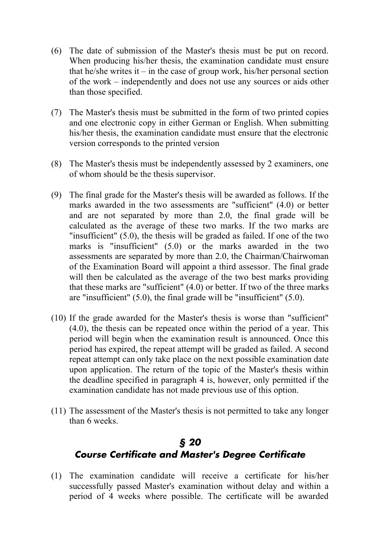- (6) The date of submission of the Master's thesis must be put on record. When producing his/her thesis, the examination candidate must ensure that he/she writes it – in the case of group work, his/her personal section of the work – independently and does not use any sources or aids other than those specified.
- (7) The Master's thesis must be submitted in the form of two printed copies and one electronic copy in either German or English. When submitting his/her thesis, the examination candidate must ensure that the electronic version corresponds to the printed version
- (8) The Master's thesis must be independently assessed by 2 examiners, one of whom should be the thesis supervisor.
- (9) The final grade for the Master's thesis will be awarded as follows. If the marks awarded in the two assessments are "sufficient" (4.0) or better and are not separated by more than 2.0, the final grade will be calculated as the average of these two marks. If the two marks are "insufficient" (5.0), the thesis will be graded as failed. If one of the two marks is "insufficient" (5.0) or the marks awarded in the two assessments are separated by more than 2.0, the Chairman/Chairwoman of the Examination Board will appoint a third assessor. The final grade will then be calculated as the average of the two best marks providing that these marks are "sufficient" (4.0) or better. If two of the three marks are "insufficient" (5.0), the final grade will be "insufficient" (5.0).
- (10) If the grade awarded for the Master's thesis is worse than "sufficient" (4.0), the thesis can be repeated once within the period of a year. This period will begin when the examination result is announced. Once this period has expired, the repeat attempt will be graded as failed. A second repeat attempt can only take place on the next possible examination date upon application. The return of the topic of the Master's thesis within the deadline specified in paragraph 4 is, however, only permitted if the examination candidate has not made previous use of this option.
- (11) The assessment of the Master's thesis is not permitted to take any longer than 6 weeks.

## *§ 20 Course Certificate and Master's Degree Certificate*

(1) The examination candidate will receive a certificate for his/her successfully passed Master's examination without delay and within a period of 4 weeks where possible. The certificate will be awarded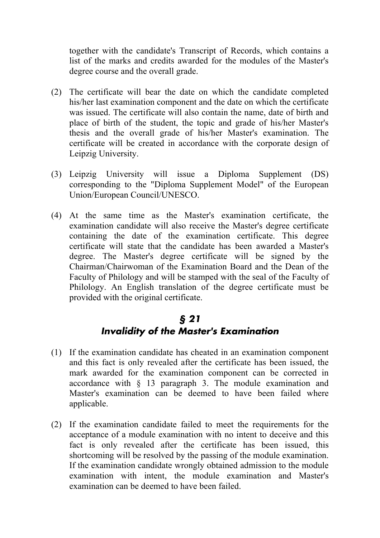together with the candidate's Transcript of Records, which contains a list of the marks and credits awarded for the modules of the Master's degree course and the overall grade.

- (2) The certificate will bear the date on which the candidate completed his/her last examination component and the date on which the certificate was issued. The certificate will also contain the name, date of birth and place of birth of the student, the topic and grade of his/her Master's thesis and the overall grade of his/her Master's examination. The certificate will be created in accordance with the corporate design of Leipzig University.
- (3) Leipzig University will issue a Diploma Supplement (DS) corresponding to the "Diploma Supplement Model" of the European Union/European Council/UNESCO.
- (4) At the same time as the Master's examination certificate, the examination candidate will also receive the Master's degree certificate containing the date of the examination certificate. This degree certificate will state that the candidate has been awarded a Master's degree. The Master's degree certificate will be signed by the Chairman/Chairwoman of the Examination Board and the Dean of the Faculty of Philology and will be stamped with the seal of the Faculty of Philology. An English translation of the degree certificate must be provided with the original certificate.

## *§ 21 Invalidity of the Master's Examination*

- (1) If the examination candidate has cheated in an examination component and this fact is only revealed after the certificate has been issued, the mark awarded for the examination component can be corrected in accordance with § 13 paragraph 3. The module examination and Master's examination can be deemed to have been failed where applicable.
- (2) If the examination candidate failed to meet the requirements for the acceptance of a module examination with no intent to deceive and this fact is only revealed after the certificate has been issued, this shortcoming will be resolved by the passing of the module examination. If the examination candidate wrongly obtained admission to the module examination with intent, the module examination and Master's examination can be deemed to have been failed.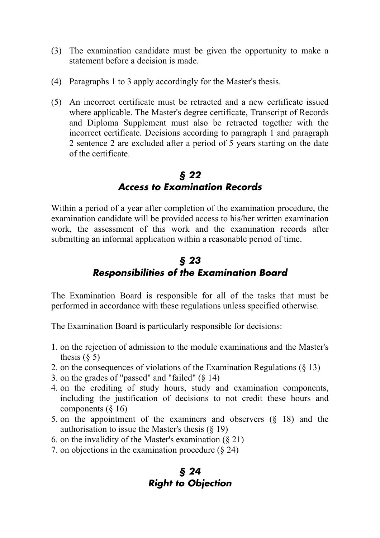- (3) The examination candidate must be given the opportunity to make a statement before a decision is made.
- (4) Paragraphs 1 to 3 apply accordingly for the Master's thesis.
- (5) An incorrect certificate must be retracted and a new certificate issued where applicable. The Master's degree certificate, Transcript of Records and Diploma Supplement must also be retracted together with the incorrect certificate. Decisions according to paragraph 1 and paragraph 2 sentence 2 are excluded after a period of 5 years starting on the date of the certificate.

## *§ 22 Access to Examination Records*

Within a period of a year after completion of the examination procedure, the examination candidate will be provided access to his/her written examination work, the assessment of this work and the examination records after submitting an informal application within a reasonable period of time.

## *§ 23 Responsibilities of the Examination Board*

The Examination Board is responsible for all of the tasks that must be performed in accordance with these regulations unless specified otherwise.

The Examination Board is particularly responsible for decisions:

- 1. on the rejection of admission to the module examinations and the Master's thesis  $(\xi$  5)
- 2. on the consequences of violations of the Examination Regulations (§ 13)
- 3. on the grades of "passed" and "failed"  $(8\ 14)$
- 4. on the crediting of study hours, study and examination components, including the justification of decisions to not credit these hours and components  $(\S 16)$
- 5. on the appointment of the examiners and observers (§ 18) and the authorisation to issue the Master's thesis  $(\S 19)$
- 6. on the invalidity of the Master's examination  $(\S 21)$
- 7. on objections in the examination procedure (§ 24)

#### *§ 24 Right to Objection*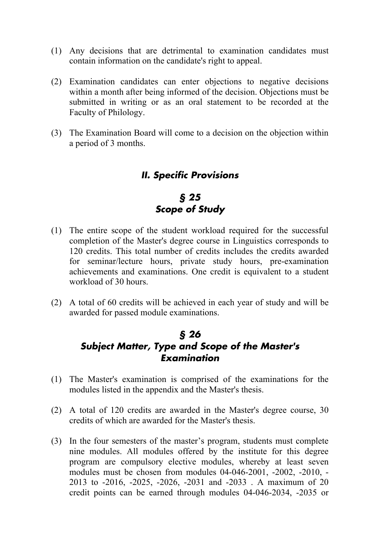- (1) Any decisions that are detrimental to examination candidates must contain information on the candidate's right to appeal.
- (2) Examination candidates can enter objections to negative decisions within a month after being informed of the decision. Objections must be submitted in writing or as an oral statement to be recorded at the Faculty of Philology.
- (3) The Examination Board will come to a decision on the objection within a period of 3 months.

#### *II. Specific Provisions*

## *§ 25 Scope of Study*

- (1) The entire scope of the student workload required for the successful completion of the Master's degree course in Linguistics corresponds to 120 credits. This total number of credits includes the credits awarded for seminar/lecture hours, private study hours, pre-examination achievements and examinations. One credit is equivalent to a student workload of 30 hours.
- (2) A total of 60 credits will be achieved in each year of study and will be awarded for passed module examinations.

## *§ 26 Subject Matter, Type and Scope of the Master's Examination*

- (1) The Master's examination is comprised of the examinations for the modules listed in the appendix and the Master's thesis.
- (2) A total of 120 credits are awarded in the Master's degree course, 30 credits of which are awarded for the Master's thesis.
- (3) In the four semesters of the master's program, students must complete nine modules. All modules offered by the institute for this degree program are compulsory elective modules, whereby at least seven modules must be chosen from modules 04-046-2001, -2002, -2010, - 2013 to -2016, -2025, -2026, -2031 and -2033 . A maximum of 20 credit points can be earned through modules 04-046-2034, -2035 or